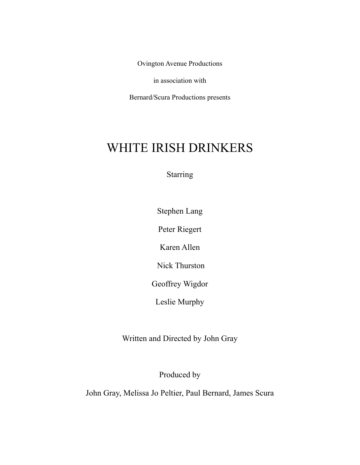Ovington Avenue Productions

in association with

Bernard/Scura Productions presents

# WHITE IRISH DRINKERS

**Starring** 

Stephen Lang

Peter Riegert

Karen Allen

Nick Thurston

Geoffrey Wigdor

Leslie Murphy

Written and Directed by John Gray

Produced by

John Gray, Melissa Jo Peltier, Paul Bernard, James Scura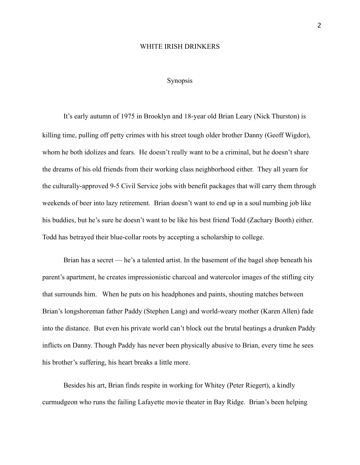### WHITE IRISH DRINKERS

# Synopsis

 It's early autumn of 1975 in Brooklyn and 18-year old Brian Leary (Nick Thurston) is killing time, pulling off petty crimes with his street tough older brother Danny (Geoff Wigdor), whom he both idolizes and fears. He doesn't really want to be a criminal, but he doesn't share the dreams of his old friends from their working class neighborhood either. They all yearn for the culturally-approved 9-5 Civil Service jobs with benefit packages that will carry them through weekends of beer into lazy retirement. Brian doesn't want to end up in a soul numbing job like his buddies, but he's sure he doesn't want to be like his best friend Todd (Zachary Booth) either. Todd has betrayed their blue-collar roots by accepting a scholarship to college.

Brian has a secret — he's a talented artist. In the basement of the bagel shop beneath his parent's apartment, he creates impressionistic charcoal and watercolor images of the stifling city that surrounds him. When he puts on his headphones and paints, shouting matches between Brian's longshoreman father Paddy (Stephen Lang) and world-weary mother (Karen Allen) fade into the distance. But even his private world can't block out the brutal beatings a drunken Paddy inflicts on Danny. Though Paddy has never been physically abusive to Brian, every time he sees his brother's suffering, his heart breaks a little more.

Besides his art, Brian finds respite in working for Whitey (Peter Riegert), a kindly curmudgeon who runs the failing Lafayette movie theater in Bay Ridge. Brian's been helping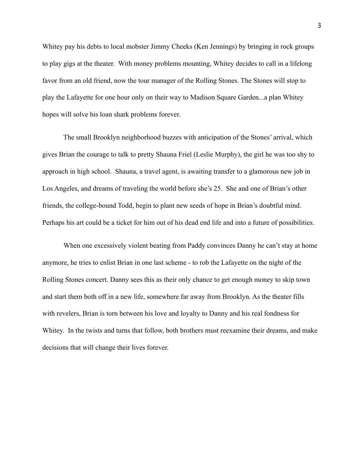Whitey pay his debts to local mobster Jimmy Cheeks (Ken Jennings) by bringing in rock groups to play gigs at the theater. With money problems mounting, Whitey decides to call in a lifelong favor from an old friend, now the tour manager of the Rolling Stones. The Stones will stop to play the Lafayette for one hour only on their way to Madison Square Garden...a plan Whitey hopes will solve his loan shark problems forever.

 The small Brooklyn neighborhood buzzes with anticipation of the Stones' arrival, which gives Brian the courage to talk to pretty Shauna Friel (Leslie Murphy), the girl he was too shy to approach in high school. Shauna, a travel agent, is awaiting transfer to a glamorous new job in Los Angeles, and dreams of traveling the world before she's 25. She and one of Brian's other friends, the college-bound Todd, begin to plant new seeds of hope in Brian's doubtful mind. Perhaps his art could be a ticket for him out of his dead end life and into a future of possibilities.

When one excessively violent beating from Paddy convinces Danny he can't stay at home anymore, he tries to enlist Brian in one last scheme - to rob the Lafayette on the night of the Rolling Stones concert. Danny sees this as their only chance to get enough money to skip town and start them both off in a new life, somewhere far away from Brooklyn. As the theater fills with revelers, Brian is torn between his love and loyalty to Danny and his real fondness for Whitey. In the twists and turns that follow, both brothers must reexamine their dreams, and make decisions that will change their lives forever.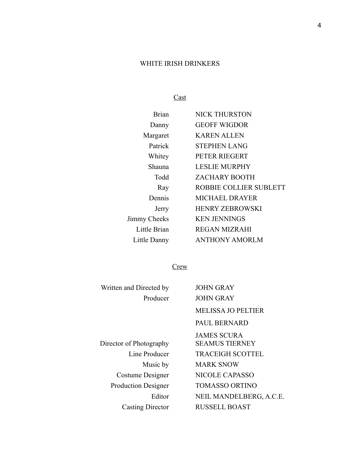# WHITE IRISH DRINKERS

Cast

| Brian        | <b>NICK THURSTON</b>   |
|--------------|------------------------|
| Danny        | <b>GEOFF WIGDOR</b>    |
| Margaret     | <b>KAREN ALLEN</b>     |
| Patrick      | <b>STEPHEN LANG</b>    |
| Whitey       | PETER RIEGERT          |
| Shauna       | <b>LESLIE MURPHY</b>   |
| Todd         | <b>ZACHARY BOOTH</b>   |
| Ray          | ROBBIE COLLIER SUBLETT |
| Dennis       | <b>MICHAEL DRAYER</b>  |
| Jerry        | <b>HENRY ZEBROWSKI</b> |
| Jimmy Cheeks | <b>KEN JENNINGS</b>    |
| Little Brian | <b>REGAN MIZRAHI</b>   |
| Little Danny | <b>ANTHONY AMORLM</b>  |
|              |                        |

# **Crew**

| Written and Directed by    | <b>JOHN GRAY</b>          |
|----------------------------|---------------------------|
| Producer                   | <b>JOHN GRAY</b>          |
|                            | <b>MELISSA JO PELTIER</b> |
|                            | PAUL BERNARD              |
|                            | <b>JAMES SCURA</b>        |
| Director of Photography    | <b>SEAMUS TIERNEY</b>     |
| Line Producer              | <b>TRACEIGH SCOTTEL</b>   |
| Music by                   | <b>MARK SNOW</b>          |
| Costume Designer           | <b>NICOLE CAPASSO</b>     |
| <b>Production Designer</b> | <b>TOMASSO ORTINO</b>     |
| Editor                     | NEIL MANDELBERG, A.C.E.   |
| <b>Casting Director</b>    | <b>RUSSELL BOAST</b>      |
|                            |                           |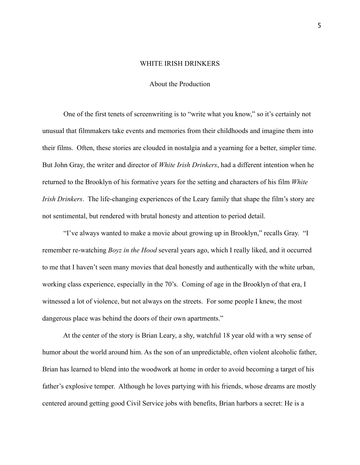#### WHITE IRISH DRINKERS

# About the Production

 One of the first tenets of screenwriting is to "write what you know," so it's certainly not unusual that filmmakers take events and memories from their childhoods and imagine them into their films. Often, these stories are clouded in nostalgia and a yearning for a better, simpler time. But John Gray, the writer and director of *White Irish Drinkers*, had a different intention when he returned to the Brooklyn of his formative years for the setting and characters of his film *White Irish Drinkers*. The life-changing experiences of the Leary family that shape the film's story are not sentimental, but rendered with brutal honesty and attention to period detail.

 "I've always wanted to make a movie about growing up in Brooklyn," recalls Gray. "I remember re-watching *Boyz in the Hood* several years ago, which I really liked, and it occurred to me that I haven't seen many movies that deal honestly and authentically with the white urban, working class experience, especially in the 70's. Coming of age in the Brooklyn of that era, I witnessed a lot of violence, but not always on the streets. For some people I knew, the most dangerous place was behind the doors of their own apartments."

 At the center of the story is Brian Leary, a shy, watchful 18 year old with a wry sense of humor about the world around him. As the son of an unpredictable, often violent alcoholic father, Brian has learned to blend into the woodwork at home in order to avoid becoming a target of his father's explosive temper. Although he loves partying with his friends, whose dreams are mostly centered around getting good Civil Service jobs with benefits, Brian harbors a secret: He is a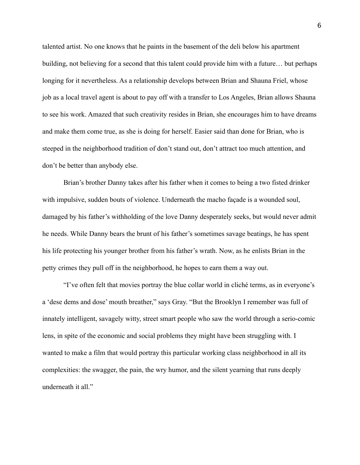talented artist. No one knows that he paints in the basement of the deli below his apartment building, not believing for a second that this talent could provide him with a future… but perhaps longing for it nevertheless. As a relationship develops between Brian and Shauna Friel, whose job as a local travel agent is about to pay off with a transfer to Los Angeles, Brian allows Shauna to see his work. Amazed that such creativity resides in Brian, she encourages him to have dreams and make them come true, as she is doing for herself. Easier said than done for Brian, who is steeped in the neighborhood tradition of don't stand out, don't attract too much attention, and don't be better than anybody else.

 Brian's brother Danny takes after his father when it comes to being a two fisted drinker with impulsive, sudden bouts of violence. Underneath the macho façade is a wounded soul, damaged by his father's withholding of the love Danny desperately seeks, but would never admit he needs. While Danny bears the brunt of his father's sometimes savage beatings, he has spent his life protecting his younger brother from his father's wrath. Now, as he enlists Brian in the petty crimes they pull off in the neighborhood, he hopes to earn them a way out.

 "I've often felt that movies portray the blue collar world in cliché terms, as in everyone's a 'dese dems and dose' mouth breather," says Gray. "But the Brooklyn I remember was full of innately intelligent, savagely witty, street smart people who saw the world through a serio-comic lens, in spite of the economic and social problems they might have been struggling with. I wanted to make a film that would portray this particular working class neighborhood in all its complexities: the swagger, the pain, the wry humor, and the silent yearning that runs deeply underneath it all."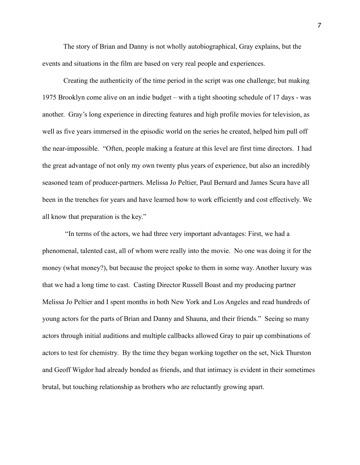The story of Brian and Danny is not wholly autobiographical, Gray explains, but the events and situations in the film are based on very real people and experiences.

Creating the authenticity of the time period in the script was one challenge; but making 1975 Brooklyn come alive on an indie budget – with a tight shooting schedule of 17 days - was another. Gray's long experience in directing features and high profile movies for television, as well as five years immersed in the episodic world on the series he created, helped him pull off the near-impossible. "Often, people making a feature at this level are first time directors. I had the great advantage of not only my own twenty plus years of experience, but also an incredibly seasoned team of producer-partners. Melissa Jo Peltier, Paul Bernard and James Scura have all been in the trenches for years and have learned how to work efficiently and cost effectively. We all know that preparation is the key."

 "In terms of the actors, we had three very important advantages: First, we had a phenomenal, talented cast, all of whom were really into the movie. No one was doing it for the money (what money?), but because the project spoke to them in some way. Another luxury was that we had a long time to cast. Casting Director Russell Boast and my producing partner Melissa Jo Peltier and I spent months in both New York and Los Angeles and read hundreds of young actors for the parts of Brian and Danny and Shauna, and their friends." Seeing so many actors through initial auditions and multiple callbacks allowed Gray to pair up combinations of actors to test for chemistry. By the time they began working together on the set, Nick Thurston and Geoff Wigdor had already bonded as friends, and that intimacy is evident in their sometimes brutal, but touching relationship as brothers who are reluctantly growing apart.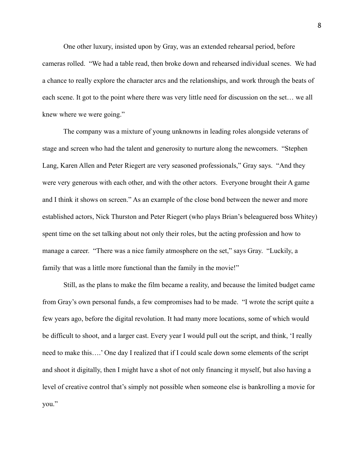One other luxury, insisted upon by Gray, was an extended rehearsal period, before cameras rolled. "We had a table read, then broke down and rehearsed individual scenes. We had a chance to really explore the character arcs and the relationships, and work through the beats of each scene. It got to the point where there was very little need for discussion on the set… we all knew where we were going."

 The company was a mixture of young unknowns in leading roles alongside veterans of stage and screen who had the talent and generosity to nurture along the newcomers. "Stephen Lang, Karen Allen and Peter Riegert are very seasoned professionals," Gray says. "And they were very generous with each other, and with the other actors. Everyone brought their A game and I think it shows on screen." As an example of the close bond between the newer and more established actors, Nick Thurston and Peter Riegert (who plays Brian's beleaguered boss Whitey) spent time on the set talking about not only their roles, but the acting profession and how to manage a career. "There was a nice family atmosphere on the set," says Gray. "Luckily, a family that was a little more functional than the family in the movie!"

 Still, as the plans to make the film became a reality, and because the limited budget came from Gray's own personal funds, a few compromises had to be made. "I wrote the script quite a few years ago, before the digital revolution. It had many more locations, some of which would be difficult to shoot, and a larger cast. Every year I would pull out the script, and think, 'I really need to make this….' One day I realized that if I could scale down some elements of the script and shoot it digitally, then I might have a shot of not only financing it myself, but also having a level of creative control that's simply not possible when someone else is bankrolling a movie for you."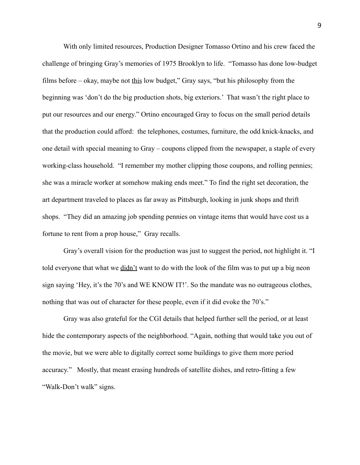With only limited resources, Production Designer Tomasso Ortino and his crew faced the challenge of bringing Gray's memories of 1975 Brooklyn to life. "Tomasso has done low-budget films before – okay, maybe not this low budget," Gray says, "but his philosophy from the beginning was 'don't do the big production shots, big exteriors.' That wasn't the right place to put our resources and our energy." Ortino encouraged Gray to focus on the small period details that the production could afford: the telephones, costumes, furniture, the odd knick-knacks, and one detail with special meaning to Gray – coupons clipped from the newspaper, a staple of every working-class household. "I remember my mother clipping those coupons, and rolling pennies; she was a miracle worker at somehow making ends meet." To find the right set decoration, the art department traveled to places as far away as Pittsburgh, looking in junk shops and thrift shops. "They did an amazing job spending pennies on vintage items that would have cost us a fortune to rent from a prop house," Gray recalls.

 Gray's overall vision for the production was just to suggest the period, not highlight it. "I told everyone that what we didn't want to do with the look of the film was to put up a big neon sign saying 'Hey, it's the 70's and WE KNOW IT!'. So the mandate was no outrageous clothes, nothing that was out of character for these people, even if it did evoke the 70's."

Gray was also grateful for the CGI details that helped further sell the period, or at least hide the contemporary aspects of the neighborhood. "Again, nothing that would take you out of the movie, but we were able to digitally correct some buildings to give them more period accuracy." Mostly, that meant erasing hundreds of satellite dishes, and retro-fitting a few "Walk-Don't walk" signs.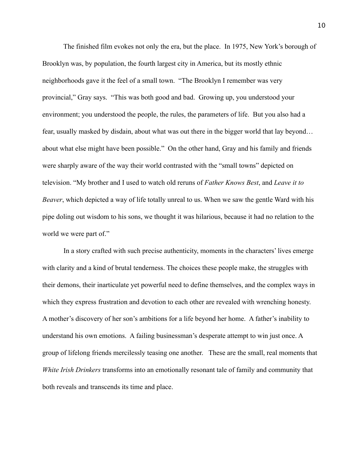The finished film evokes not only the era, but the place. In 1975, New York's borough of Brooklyn was, by population, the fourth largest city in America, but its mostly ethnic neighborhoods gave it the feel of a small town. "The Brooklyn I remember was very provincial," Gray says. "This was both good and bad. Growing up, you understood your environment; you understood the people, the rules, the parameters of life. But you also had a fear, usually masked by disdain, about what was out there in the bigger world that lay beyond… about what else might have been possible." On the other hand, Gray and his family and friends were sharply aware of the way their world contrasted with the "small towns" depicted on television. "My brother and I used to watch old reruns of *Father Knows Best*, and *Leave it to Beaver*, which depicted a way of life totally unreal to us. When we saw the gentle Ward with his pipe doling out wisdom to his sons, we thought it was hilarious, because it had no relation to the world we were part of."

 In a story crafted with such precise authenticity, moments in the characters' lives emerge with clarity and a kind of brutal tenderness. The choices these people make, the struggles with their demons, their inarticulate yet powerful need to define themselves, and the complex ways in which they express frustration and devotion to each other are revealed with wrenching honesty. A mother's discovery of her son's ambitions for a life beyond her home. A father's inability to understand his own emotions. A failing businessman's desperate attempt to win just once. A group of lifelong friends mercilessly teasing one another. These are the small, real moments that *White Irish Drinkers* transforms into an emotionally resonant tale of family and community that both reveals and transcends its time and place.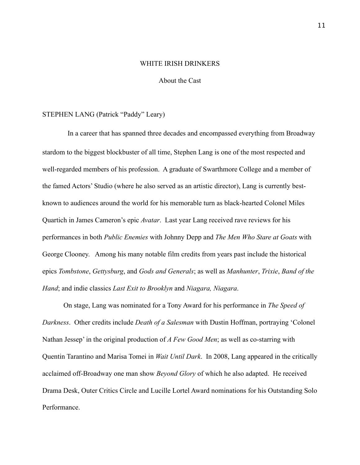### WHITE IRISH DRINKERS

# About the Cast

# STEPHEN LANG (Patrick "Paddy" Leary)

 In a career that has spanned three decades and encompassed everything from Broadway stardom to the biggest blockbuster of all time, Stephen Lang is one of the most respected and well-regarded members of his profession. A graduate of Swarthmore College and a member of the famed Actors' Studio (where he also served as an artistic director), Lang is currently bestknown to audiences around the world for his memorable turn as black-hearted Colonel Miles Quartich in James Cameron's epic *Avatar*. Last year Lang received rave reviews for his performances in both *Public Enemies* with Johnny Depp and *The Men Who Stare at Goats* with George Clooney. Among his many notable film credits from years past include the historical epics *Tombstone*, *Gettysburg*, and *Gods and Generals*; as well as *Manhunter*, *Trixie*, *Band of the Hand*; and indie classics *Last Exit to Brooklyn* and *Niagara, Niagara*.

 On stage, Lang was nominated for a Tony Award for his performance in *The Speed of Darkness*. Other credits include *Death of a Salesman* with Dustin Hoffman, portraying 'Colonel Nathan Jessep' in the original production of *A Few Good Men*; as well as co-starring with Quentin Tarantino and Marisa Tomei in *Wait Until Dark*. In 2008, Lang appeared in the critically acclaimed off-Broadway one man show *Beyond Glory* of which he also adapted. He received Drama Desk, Outer Critics Circle and Lucille Lortel Award nominations for his Outstanding Solo Performance.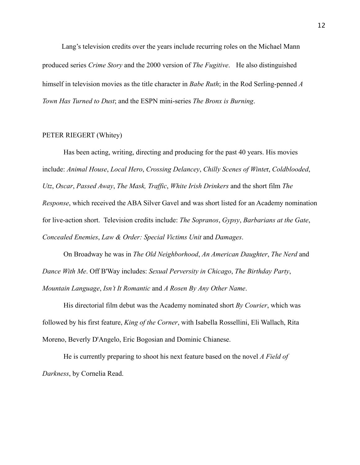Lang's television credits over the years include recurring roles on the Michael Mann produced series *Crime Story* and the 2000 version of *The Fugitive*. He also distinguished himself in television movies as the title character in *Babe Ruth*; in the Rod Serling-penned *A Town Has Turned to Dust*; and the ESPN mini-series *The Bronx is Burning*.

# PETER RIEGERT (Whitey)

 Has been acting, writing, directing and producing for the past 40 years. His movies include: *Animal House*, *Local Hero*, *Crossing Delancey*, *Chilly Scenes of Winte*r, *Coldblooded*, *Utz*, *Oscar*, *Passed Away*, *The Mask, Traffic*, *White Irish Drinkers* and the short film *The Response*, which received the ABA Silver Gavel and was short listed for an Academy nomination for live-action short. Television credits include: *The Sopranos*, *Gypsy*, *Barbarians at the Gate*, *Concealed Enemies*, *Law & Order: Special Victims Unit* and *Damages*.

 On Broadway he was in *The Old Neighborhood*, *An American Daughter*, *The Nerd* and *Dance With Me*. Off B'Way includes: *Sexual Perversity in Chicago*, *The Birthday Party*, *Mountain Language*, *Isn't It Romantic* and *A Rosen By Any Other Name*.

 His directorial film debut was the Academy nominated short *By Courier*, which was followed by his first feature, *King of the Corner*, with Isabella Rossellini, Eli Wallach, Rita Moreno, Beverly D'Angelo, Eric Bogosian and Dominic Chianese.

 He is currently preparing to shoot his next feature based on the novel *A Field of Darkness*, by Cornelia Read.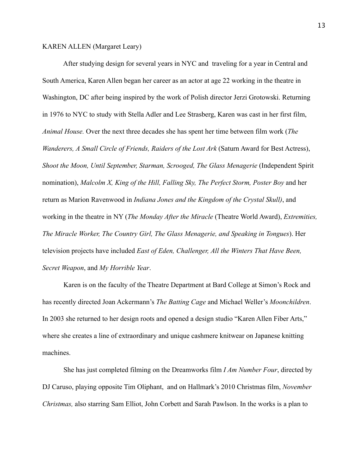# KAREN ALLEN (Margaret Leary)

 After studying design for several years in NYC and traveling for a year in Central and South America, Karen Allen began her career as an actor at age 22 working in the theatre in Washington, DC after being inspired by the work of Polish director Jerzi Grotowski. Returning in 1976 to NYC to study with Stella Adler and Lee Strasberg, Karen was cast in her first film, *Animal House.* Over the next three decades she has spent her time between film work (*The Wanderers, A Small Circle of Friends, Raiders of the Lost Ark* (Saturn Award for Best Actress), *Shoot the Moon, Until September, Starman, Scrooged, The Glass Menagerie* (Independent Spirit nomination), *Malcolm X, King of the Hill, Falling Sky, The Perfect Storm, Poster Boy* and her return as Marion Ravenwood in *Indiana Jones and the Kingdom of the Crystal Skull)*, and working in the theatre in NY (*The Monday After the Miracle* (Theatre World Award), *Extremities, The Miracle Worker, The Country Girl, The Glass Menagerie, and Speaking in Tongues*). Her television projects have included *East of Eden, Challenger, All the Winters That Have Been, Secret Weapon*, and *My Horrible Year*.

 Karen is on the faculty of the Theatre Department at Bard College at Simon's Rock and has recently directed Joan Ackermann's *The Batting Cage* and Michael Weller's *Moonchildren*. In 2003 she returned to her design roots and opened a design studio "Karen Allen Fiber Arts," where she creates a line of extraordinary and unique cashmere knitwear on Japanese knitting machines.

 She has just completed filming on the Dreamworks film *I Am Number Four*, directed by DJ Caruso, playing opposite Tim Oliphant, and on Hallmark's 2010 Christmas film, *November Christmas,* also starring Sam Elliot, John Corbett and Sarah Pawlson. In the works is a plan to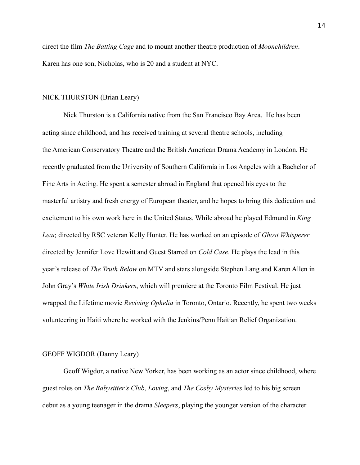direct the film *The Batting Cage* and to mount another theatre production of *Moonchildren*. Karen has one son, Nicholas, who is 20 and a student at NYC.

#### NICK THURSTON (Brian Leary)

Nick Thurston is a California native from the San Francisco Bay Area. He has been acting since childhood, and has received training at several theatre schools, including the American Conservatory Theatre and the British American Drama Academy in London. He recently graduated from the University of Southern California in Los Angeles with a Bachelor of Fine Arts in Acting. He spent a semester abroad in England that opened his eyes to the masterful artistry and fresh energy of European theater, and he hopes to bring this dedication and excitement to his own work here in the United States. While abroad he played Edmund in *King Lear,* directed by RSC veteran Kelly Hunter. He has worked on an episode of *Ghost Whisperer* directed by Jennifer Love Hewitt and Guest Starred on *Cold Case*. He plays the lead in this year's release of *The Truth Below* on MTV and stars alongside Stephen Lang and Karen Allen in John Gray's *White Irish Drinkers*, which will premiere at the Toronto Film Festival. He just wrapped the Lifetime movie *Reviving Ophelia* in Toronto, Ontario. Recently, he spent two weeks volunteering in Haiti where he worked with the Jenkins/Penn Haitian Relief Organization.

### GEOFF WIGDOR (Danny Leary)

 Geoff Wigdor, a native New Yorker, has been working as an actor since childhood, where guest roles on *The Babysitter's Club*, *Loving*, and *The Cosby Mysteries* led to his big screen debut as a young teenager in the drama *Sleepers*, playing the younger version of the character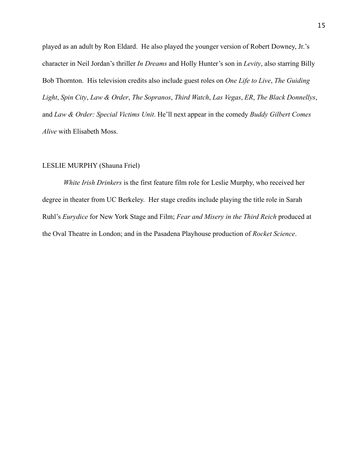played as an adult by Ron Eldard. He also played the younger version of Robert Downey, Jr.'s character in Neil Jordan's thriller *In Dreams* and Holly Hunter's son in *Levity*, also starring Billy Bob Thornton. His television credits also include guest roles on *One Life to Live*, *The Guiding Light*, *Spin City*, *Law & Order*, *The Sopranos*, *Third Watch*, *Las Vegas*, *ER*, *The Black Donnellys*, and *Law & Order: Special Victims Unit*. He'll next appear in the comedy *Buddy Gilbert Comes Alive* with Elisabeth Moss.

# LESLIE MURPHY (Shauna Friel)

*White Irish Drinkers* is the first feature film role for Leslie Murphy, who received her degree in theater from UC Berkeley. Her stage credits include playing the title role in Sarah Ruhl's *Eurydice* for New York Stage and Film; *Fear and Misery in the Third Reich* produced at the Oval Theatre in London; and in the Pasadena Playhouse production of *Rocket Science*.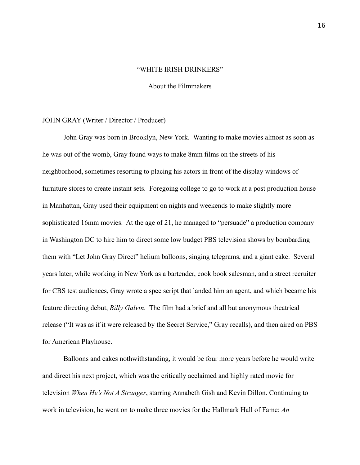#### "WHITE IRISH DRINKERS"

About the Filmmakers

#### JOHN GRAY (Writer / Director / Producer)

 John Gray was born in Brooklyn, New York. Wanting to make movies almost as soon as he was out of the womb, Gray found ways to make 8mm films on the streets of his neighborhood, sometimes resorting to placing his actors in front of the display windows of furniture stores to create instant sets. Foregoing college to go to work at a post production house in Manhattan, Gray used their equipment on nights and weekends to make slightly more sophisticated 16mm movies. At the age of 21, he managed to "persuade" a production company in Washington DC to hire him to direct some low budget PBS television shows by bombarding them with "Let John Gray Direct" helium balloons, singing telegrams, and a giant cake. Several years later, while working in New York as a bartender, cook book salesman, and a street recruiter for CBS test audiences, Gray wrote a spec script that landed him an agent, and which became his feature directing debut, *Billy Galvin*. The film had a brief and all but anonymous theatrical release ("It was as if it were released by the Secret Service," Gray recalls), and then aired on PBS for American Playhouse.

Balloons and cakes nothwithstanding, it would be four more years before he would write and direct his next project, which was the critically acclaimed and highly rated movie for television *When He's Not A Stranger*, starring Annabeth Gish and Kevin Dillon. Continuing to work in television, he went on to make three movies for the Hallmark Hall of Fame: *An*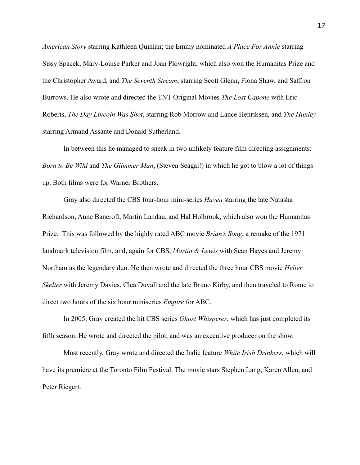*American Story* starring Kathleen Quinlan; the Emmy nominated *A Place For Annie* starring Sissy Spacek, Mary-Louise Parker and Joan Plowright, which also won the Humanitas Prize and the Christopher Award, and *The Seventh Stream*, starring Scott Glenn, Fiona Shaw, and Saffron Burrows. He also wrote and directed the TNT Original Movies *The Lost Capone* with Eric Roberts, *The Day Lincoln Was Shot*, starring Rob Morrow and Lance Henriksen, and *The Hunley* starring Armand Assante and Donald Sutherland.

In between this he managed to sneak in two unlikely feature film directing assignments: *Born to Be Wild* and *The Glimmer Man*, (Steven Seagal!) in which he got to blow a lot of things up. Both films were for Warner Brothers.

 Gray also directed the CBS four-hour mini-series *Haven* starring the late Natasha Richardson, Anne Bancroft, Martin Landau, and Hal Holbrook, which also won the Humanitas Prize. This was followed by the highly rated ABC movie *Brian's Song*, a remake of the 1971 landmark television film, and, again for CBS, *Martin & Lewis* with Sean Hayes and Jeremy Northam as the legendary duo. He then wrote and directed the three hour CBS movie *Helter Skelter* with Jeremy Davies, Clea Duvall and the late Bruno Kirby, and then traveled to Rome to direct two hours of the six hour miniseries *Empire* for ABC.

 In 2005, Gray created the hit CBS series *Ghost Whisperer*, which has just completed its fifth season. He wrote and directed the pilot, and was an executive producer on the show.

 Most recently, Gray wrote and directed the Indie feature *White Irish Drinkers*, which will have its premiere at the Toronto Film Festival. The movie stars Stephen Lang, Karen Allen, and Peter Riegert.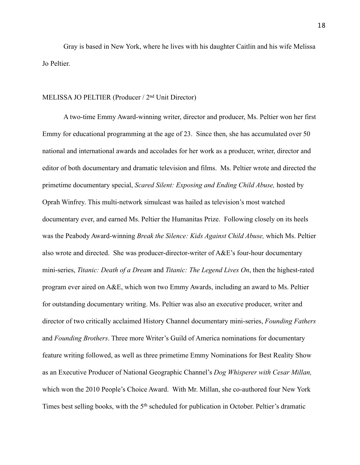Gray is based in New York, where he lives with his daughter Caitlin and his wife Melissa Jo Peltier.

# MELISSA JO PELTIER (Producer / 2nd Unit Director)

A two-time Emmy Award-winning writer, director and producer, Ms. Peltier won her first Emmy for educational programming at the age of 23. Since then, she has accumulated over 50 national and international awards and accolades for her work as a producer, writer, director and editor of both documentary and dramatic television and films. Ms. Peltier wrote and directed the primetime documentary special, *Scared Silent: Exposing and Ending Child Abuse,* hosted by Oprah Winfrey. This multi-network simulcast was hailed as television's most watched documentary ever, and earned Ms. Peltier the Humanitas Prize. Following closely on its heels was the Peabody Award-winning *Break the Silence: Kids Against Child Abuse,* which Ms. Peltier also wrote and directed. She was producer-director-writer of A&E's four-hour documentary mini-series, *Titanic: Death of a Dream* and *Titanic: The Legend Lives On*, then the highest-rated program ever aired on A&E, which won two Emmy Awards, including an award to Ms. Peltier for outstanding documentary writing. Ms. Peltier was also an executive producer, writer and director of two critically acclaimed History Channel documentary mini-series, *Founding Fathers* and *Founding Brothers*. Three more Writer's Guild of America nominations for documentary feature writing followed, as well as three primetime Emmy Nominations for Best Reality Show as an Executive Producer of National Geographic Channel's *Dog Whisperer with Cesar Millan,*  which won the 2010 People's Choice Award. With Mr. Millan, she co-authored four New York Times best selling books, with the 5<sup>th</sup> scheduled for publication in October. Peltier's dramatic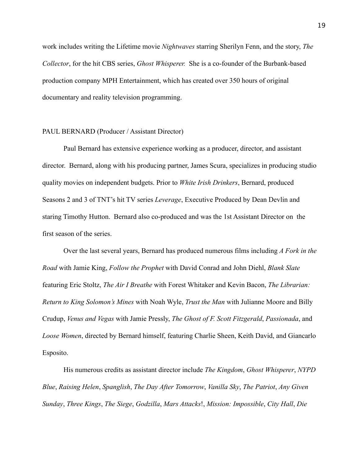work includes writing the Lifetime movie *Nightwaves* starring Sherilyn Fenn, and the story, *The Collector*, for the hit CBS series, *Ghost Whisperer.* She is a co-founder of the Burbank-based production company MPH Entertainment, which has created over 350 hours of original documentary and reality television programming.

# PAUL BERNARD (Producer / Assistant Director)

 Paul Bernard has extensive experience working as a producer, director, and assistant director. Bernard, along with his producing partner, James Scura, specializes in producing studio quality movies on independent budgets. Prior to *White Irish Drinkers*, Bernard, produced Seasons 2 and 3 of TNT's hit TV series *Leverage*, Executive Produced by Dean Devlin and staring Timothy Hutton. Bernard also co-produced and was the 1st Assistant Director on the first season of the series.

 Over the last several years, Bernard has produced numerous films including *A Fork in the Road* with Jamie King, *Follow the Prophet* with David Conrad and John Diehl, *Blank Slate* featuring Eric Stoltz, *The Air I Breathe* with Forest Whitaker and Kevin Bacon, *The Librarian: Return to King Solomon's Mines* with Noah Wyle, *Trust the Man* with Julianne Moore and Billy Crudup, *Venus and Vegas* with Jamie Pressly, *The Ghost of F. Scott Fitzgerald*, *Passionada*, and *Loose Women*, directed by Bernard himself, featuring Charlie Sheen, Keith David, and Giancarlo Esposito.

His numerous credits as assistant director include *The Kingdom*, *Ghost Whisperer*, *NYPD Blue*, *Raising Helen*, *Spanglish*, *The Day After Tomorrow*, *Vanilla Sky*, *The Patriot*, *Any Given Sunday*, *Three Kings*, *The Siege*, *Godzilla*, *Mars Attacks*!, *Mission: Impossible*, *City Hall*, *Die*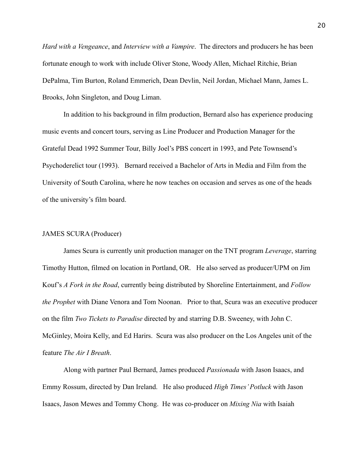*Hard with a Vengeance*, and *Interview with a Vampire*. The directors and producers he has been fortunate enough to work with include Oliver Stone, Woody Allen, Michael Ritchie, Brian DePalma, Tim Burton, Roland Emmerich, Dean Devlin, Neil Jordan, Michael Mann, James L. Brooks, John Singleton, and Doug Liman.

 In addition to his background in film production, Bernard also has experience producing music events and concert tours, serving as Line Producer and Production Manager for the Grateful Dead 1992 Summer Tour, Billy Joel's PBS concert in 1993, and Pete Townsend's Psychoderelict tour (1993). Bernard received a Bachelor of Arts in Media and Film from the University of South Carolina, where he now teaches on occasion and serves as one of the heads of the university's film board.

# JAMES SCURA (Producer)

 James Scura is currently unit production manager on the TNT program *Leverage*, starring Timothy Hutton, filmed on location in Portland, OR. He also served as producer/UPM on Jim Kouf's *A Fork in the Road*, currently being distributed by Shoreline Entertainment, and *Follow the Prophet* with Diane Venora and Tom Noonan. Prior to that, Scura was an executive producer on the film *Two Tickets to Paradise* directed by and starring D.B. Sweeney, with John C. McGinley, Moira Kelly, and Ed Harirs. Scura was also producer on the Los Angeles unit of the feature *The Air I Breath*.

Along with partner Paul Bernard, James produced *Passionada* with Jason Isaacs, and Emmy Rossum, directed by Dan Ireland. He also produced *High Times' Potluck* with Jason Isaacs, Jason Mewes and Tommy Chong. He was co-producer on *Mixing Nia* with Isaiah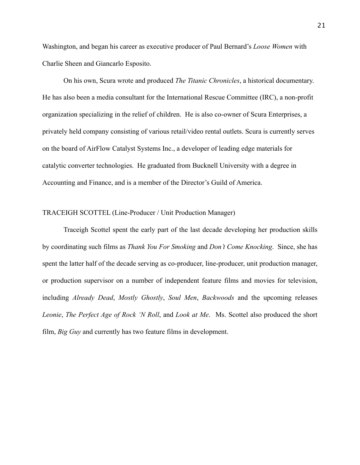Washington, and began his career as executive producer of Paul Bernard's *Loose Women* with Charlie Sheen and Giancarlo Esposito.

 On his own, Scura wrote and produced *The Titanic Chronicles*, a historical documentary. He has also been a media consultant for the International Rescue Committee (IRC), a non-profit organization specializing in the relief of children. He is also co-owner of Scura Enterprises, a privately held company consisting of various retail/video rental outlets. Scura is currently serves on the board of AirFlow Catalyst Systems Inc., a developer of leading edge materials for catalytic converter technologies. He graduated from Bucknell University with a degree in Accounting and Finance, and is a member of the Director's Guild of America.

# TRACEIGH SCOTTEL (Line-Producer / Unit Production Manager)

Traceigh Scottel spent the early part of the last decade developing her production skills by coordinating such films as *Thank You For Smoking* and *Don't Come Knocking*. Since, she has spent the latter half of the decade serving as co-producer, line-producer, unit production manager, or production supervisor on a number of independent feature films and movies for television, including *Already Dead*, *Mostly Ghostly*, *Soul Men*, *Backwoods* and the upcoming releases *Leonie*, *The Perfect Age of Rock 'N Roll*, and *Look at Me*. Ms. Scottel also produced the short film, *Big Guy* and currently has two feature films in development.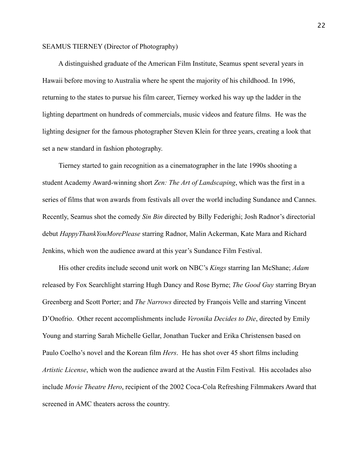# SEAMUS TIERNEY (Director of Photography)

 A distinguished graduate of the American Film Institute, Seamus spent several years in Hawaii before moving to Australia where he spent the majority of his childhood. In 1996, returning to the states to pursue his film career, Tierney worked his way up the ladder in the lighting department on hundreds of commercials, music videos and feature films. He was the lighting designer for the famous photographer Steven Klein for three years, creating a look that set a new standard in fashion photography.

 Tierney started to gain recognition as a cinematographer in the late 1990s shooting a student Academy Award-winning short *Zen: The Art of Landscaping*, which was the first in a series of films that won awards from festivals all over the world including Sundance and Cannes. Recently, Seamus shot the comedy *Sin Bin* directed by Billy Federighi; Josh Radnor's directorial debut *HappyThankYouMorePlease* starring Radnor, Malin Ackerman, Kate Mara and Richard Jenkins, which won the audience award at this year's Sundance Film Festival.

 His other credits include second unit work on NBC's *Kings* starring Ian McShane; *Adam* released by Fox Searchlight starring Hugh Dancy and Rose Byrne; *The Good Guy* starring Bryan Greenberg and Scott Porter; and *The Narrows* directed by François Velle and starring Vincent D'Onofrio. Other recent accomplishments include *Veronika Decides to Die*, directed by Emily Young and starring Sarah Michelle Gellar, Jonathan Tucker and Erika Christensen based on Paulo Coelho's novel and the Korean film *Hers*. He has shot over 45 short films including *Artistic License*, which won the audience award at the Austin Film Festival. His accolades also include *Movie Theatre Hero*, recipient of the 2002 Coca-Cola Refreshing Filmmakers Award that screened in AMC theaters across the country.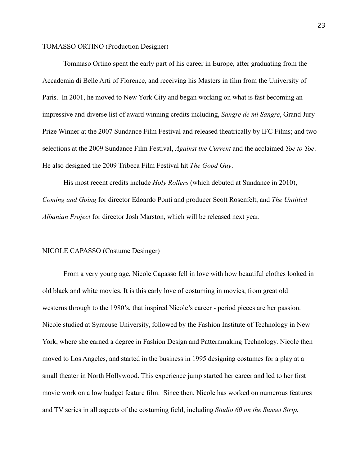# TOMASSO ORTINO (Production Designer)

 Tommaso Ortino spent the early part of his career in Europe, after graduating from the Accademia di Belle Arti of Florence, and receiving his Masters in film from the University of Paris. In 2001, he moved to New York City and began working on what is fast becoming an impressive and diverse list of award winning credits including, *Sangre de mi Sangre*, Grand Jury Prize Winner at the 2007 Sundance Film Festival and released theatrically by IFC Films; and two selections at the 2009 Sundance Film Festival, *Against the Current* and the acclaimed *Toe to Toe*. He also designed the 2009 Tribeca Film Festival hit *The Good Guy*.

 His most recent credits include *Holy Rollers* (which debuted at Sundance in 2010), *Coming and Going* for director Edoardo Ponti and producer Scott Rosenfelt, and *The Untitled Albanian Project* for director Josh Marston, which will be released next year.

# NICOLE CAPASSO (Costume Desinger)

 From a very young age, Nicole Capasso fell in love with how beautiful clothes looked in old black and white movies. It is this early love of costuming in movies, from great old westerns through to the 1980's, that inspired Nicole's career - period pieces are her passion. Nicole studied at Syracuse University, followed by the Fashion Institute of Technology in New York, where she earned a degree in Fashion Design and Patternmaking Technology. Nicole then moved to Los Angeles, and started in the business in 1995 designing costumes for a play at a small theater in North Hollywood. This experience jump started her career and led to her first movie work on a low budget feature film. Since then, Nicole has worked on numerous features and TV series in all aspects of the costuming field, including *Studio 60 on the Sunset Strip*,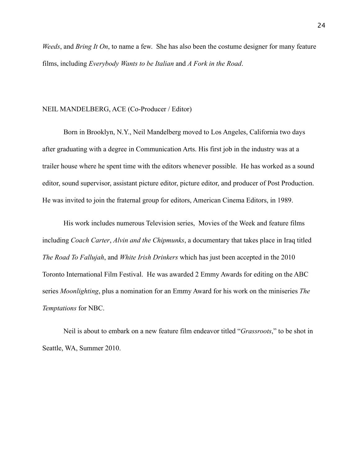*Weeds*, and *Bring It On*, to name a few. She has also been the costume designer for many feature films, including *Everybody Wants to be Italian* and *A Fork in the Road*.

# NEIL MANDELBERG, ACE (Co-Producer / Editor)

Born in Brooklyn, N.Y., Neil Mandelberg moved to Los Angeles, California two days after graduating with a degree in Communication Arts. His first job in the industry was at a trailer house where he spent time with the editors whenever possible. He has worked as a sound editor, sound supervisor, assistant picture editor, picture editor, and producer of Post Production. He was invited to join the fraternal group for editors, American Cinema Editors, in 1989.

 His work includes numerous Television series, Movies of the Week and feature films including *Coach Carter*, *Alvin and the Chipmunks*, a documentary that takes place in Iraq titled *The Road To Fallujah*, and *White Irish Drinkers* which has just been accepted in the 2010 Toronto International Film Festival. He was awarded 2 Emmy Awards for editing on the ABC series *Moonlighting*, plus a nomination for an Emmy Award for his work on the miniseries *The Temptations* for NBC.

 Neil is about to embark on a new feature film endeavor titled "*Grassroots*," to be shot in Seattle, WA, Summer 2010.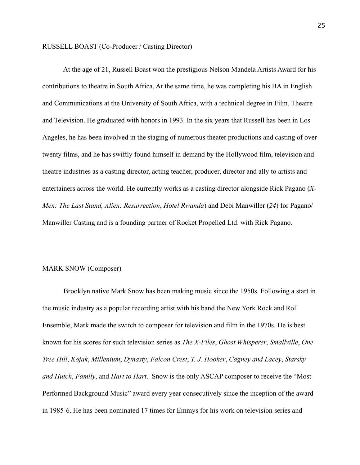# RUSSELL BOAST (Co-Producer / Casting Director)

 At the age of 21, Russell Boast won the prestigious Nelson Mandela Artists Award for his contributions to theatre in South Africa. At the same time, he was completing his BA in English and Communications at the University of South Africa, with a technical degree in Film, Theatre and Television. He graduated with honors in 1993. In the six years that Russell has been in Los Angeles, he has been involved in the staging of numerous theater productions and casting of over twenty films, and he has swiftly found himself in demand by the Hollywood film, television and theatre industries as a casting director, acting teacher, producer, director and ally to artists and entertainers across the world. He currently works as a casting director alongside Rick Pagano (*X-Men: The Last Stand, Alien: Resurrection*, *Hotel Rwanda*) and Debi Manwiller (*24*) for Pagano/ Manwiller Casting and is a founding partner of Rocket Propelled Ltd. with Rick Pagano.

# MARK SNOW (Composer)

 Brooklyn native Mark Snow has been making music since the 1950s. Following a start in the music industry as a popular recording artist with his band the New York Rock and Roll Ensemble, Mark made the switch to composer for television and film in the 1970s. He is best known for his scores for such television series as *The X-Files*, *Ghost Whisperer*, *Smallville*, *One Tree Hill*, *Kojak*, *Millenium*, *Dynasty*, *Falcon Crest*, *T. J. Hooker*, *Cagney and Lacey*, *Starsky and Hutch*, *Family*, and *Hart to Hart*. Snow is the only ASCAP composer to receive the "Most Performed Background Music" award every year consecutively since the inception of the award in 1985-6. He has been nominated 17 times for Emmys for his work on television series and